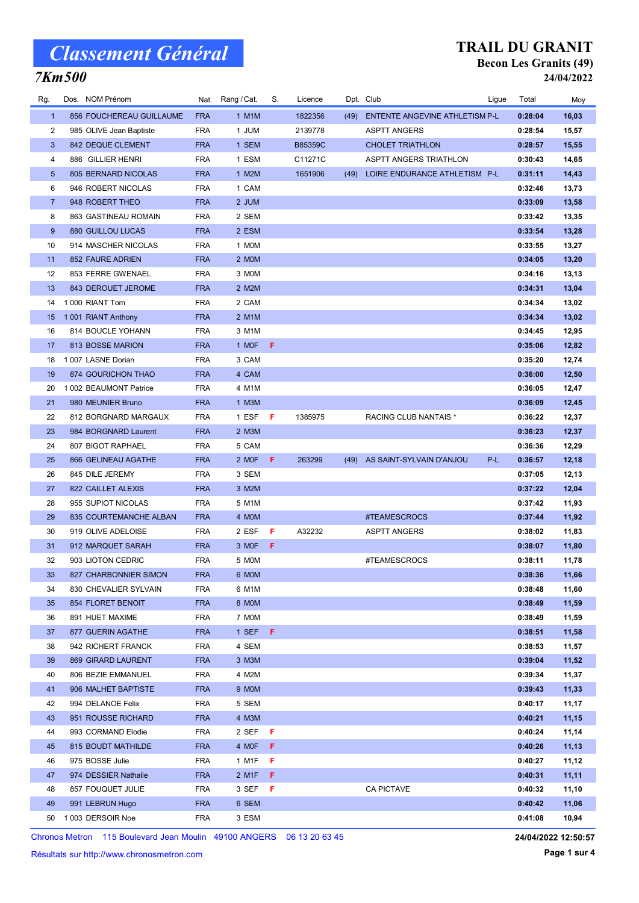## 7Km500

#### TRAIL DU GRANIT Becon Les Granits (49) 24/04/2022

| Rg.             | Dos. NOM Prénom            |            | Nat. Rang / Cat. | S.  | Licence        |      | Dpt. Club                      | Ligue | Total   | Moy   |
|-----------------|----------------------------|------------|------------------|-----|----------------|------|--------------------------------|-------|---------|-------|
| $\mathbf{1}$    | 856 FOUCHEREAU GUILLAUME   | <b>FRA</b> | 1 M1M            |     | 1822356        | (49) | ENTENTE ANGEVINE ATHLETISM P-L |       | 0:28:04 | 16,03 |
| $\overline{c}$  | 985 OLIVE Jean Baptiste    | <b>FRA</b> | 1 JUM            |     | 2139778        |      | <b>ASPTT ANGERS</b>            |       | 0:28:54 | 15,57 |
| 3               | 842 DEQUE CLEMENT          | <b>FRA</b> | 1 SEM            |     | <b>B85359C</b> |      | <b>CHOLET TRIATHLON</b>        |       | 0:28:57 | 15,55 |
| 4               | 886 GILLIER HENRI          | <b>FRA</b> | 1 ESM            |     | C11271C        |      | <b>ASPTT ANGERS TRIATHLON</b>  |       | 0:30:43 | 14,65 |
| $5\phantom{.0}$ | <b>805 BERNARD NICOLAS</b> | <b>FRA</b> | 1 M2M            |     | 1651906        | (49) | LOIRE ENDURANCE ATHLETISM P-L  |       | 0:31:11 | 14,43 |
| 6               | 946 ROBERT NICOLAS         | <b>FRA</b> | 1 CAM            |     |                |      |                                |       | 0:32:46 | 13,73 |
| $\overline{7}$  | 948 ROBERT THEO            | <b>FRA</b> | 2 JUM            |     |                |      |                                |       | 0:33:09 | 13,58 |
| 8               | 863 GASTINEAU ROMAIN       | <b>FRA</b> | 2 SEM            |     |                |      |                                |       | 0:33:42 | 13,35 |
| 9               | <b>880 GUILLOU LUCAS</b>   | <b>FRA</b> | 2 ESM            |     |                |      |                                |       | 0:33:54 | 13,28 |
| 10              | 914 MASCHER NICOLAS        | <b>FRA</b> | 1 MOM            |     |                |      |                                |       | 0:33:55 | 13,27 |
| 11              | 852 FAURE ADRIEN           | <b>FRA</b> | 2 MOM            |     |                |      |                                |       | 0:34:05 | 13,20 |
| 12              | 853 FERRE GWENAEL          | <b>FRA</b> | 3 MOM            |     |                |      |                                |       | 0:34:16 | 13,13 |
| 13              | 843 DEROUET JEROME         | <b>FRA</b> | 2 M2M            |     |                |      |                                |       | 0:34:31 | 13,04 |
| 14              | 1000 RIANT Tom             | <b>FRA</b> | 2 CAM            |     |                |      |                                |       | 0:34:34 | 13,02 |
| 15              | 1 001 RIANT Anthony        | <b>FRA</b> | 2 M1M            |     |                |      |                                |       | 0:34:34 | 13,02 |
| 16              | 814 BOUCLE YOHANN          | <b>FRA</b> | 3 M1M            |     |                |      |                                |       | 0:34:45 | 12,95 |
| 17              | 813 BOSSE MARION           | <b>FRA</b> | 1 MOF            | F.  |                |      |                                |       | 0:35:06 | 12,82 |
| 18              | 1 007 LASNE Dorian         | <b>FRA</b> | 3 CAM            |     |                |      |                                |       | 0:35:20 | 12,74 |
| 19              | 874 GOURICHON THAO         | <b>FRA</b> | 4 CAM            |     |                |      |                                |       | 0:36:00 | 12,50 |
| 20              | 1 002 BEAUMONT Patrice     | <b>FRA</b> | 4 M1M            |     |                |      |                                |       | 0:36:05 | 12,47 |
| 21              | 980 MEUNIER Bruno          | <b>FRA</b> | 1 M3M            |     |                |      |                                |       | 0:36:09 | 12,45 |
| 22              | 812 BORGNARD MARGAUX       | <b>FRA</b> | 1 ESF            | - F | 1385975        |      | RACING CLUB NANTAIS *          |       | 0:36:22 | 12,37 |
| 23              | 984 BORGNARD Laurent       | <b>FRA</b> | 2 M3M            |     |                |      |                                |       | 0:36:23 | 12,37 |
| 24              | 807 BIGOT RAPHAEL          | <b>FRA</b> | 5 CAM            |     |                |      |                                |       | 0:36:36 | 12,29 |
| 25              | 866 GELINEAU AGATHE        | <b>FRA</b> | 2 MOF            | F.  | 263299         |      | (49) AS SAINT-SYLVAIN D'ANJOU  | P-L   | 0:36:57 | 12,18 |
| 26              | 845 DILE JEREMY            | <b>FRA</b> | 3 SEM            |     |                |      |                                |       | 0:37:05 | 12,13 |
| 27              | 822 CAILLET ALEXIS         | <b>FRA</b> | 3 M2M            |     |                |      |                                |       | 0:37:22 | 12,04 |
| 28              | 955 SUPIOT NICOLAS         | <b>FRA</b> | 5 M1M            |     |                |      |                                |       | 0:37:42 | 11,93 |
| 29              | 835 COURTEMANCHE ALBAN     | <b>FRA</b> | 4 MOM            |     |                |      | #TEAMESCROCS                   |       | 0:37:44 | 11,92 |
| 30              | 919 OLIVE ADELOISE         | FRA        | 2 ESF            | F   | A32232         |      | ASPTT ANGERS                   |       | 0:38:02 | 11,83 |
| 31              | 912 MARQUET SARAH          | <b>FRA</b> | 3 MOF            | F   |                |      |                                |       | 0:38:07 | 11,80 |
| 32              | 903 LIOTON CEDRIC          | <b>FRA</b> | 5 MOM            |     |                |      | #TEAMESCROCS                   |       | 0:38:11 | 11,78 |
| 33              | 827 CHARBONNIER SIMON      | <b>FRA</b> | 6 MOM            |     |                |      |                                |       | 0:38:36 | 11,66 |
| 34              | 830 CHEVALIER SYLVAIN      | FRA        | 6 M1M            |     |                |      |                                |       | 0:38:48 | 11,60 |
| 35              | 854 FLORET BENOIT          | <b>FRA</b> | 8 MOM            |     |                |      |                                |       | 0:38:49 | 11,59 |
| 36              | 891 HUET MAXIME            | FRA        | 7 MOM            |     |                |      |                                |       | 0:38:49 | 11,59 |
| 37              | 877 GUERIN AGATHE          | <b>FRA</b> | 1 SEF            | -F. |                |      |                                |       | 0:38:51 | 11,58 |
| 38              | 942 RICHERT FRANCK         | FRA        | 4 SEM            |     |                |      |                                |       | 0:38:53 | 11,57 |
| 39              | 869 GIRARD LAURENT         | <b>FRA</b> | 3 M3M            |     |                |      |                                |       | 0:39:04 | 11,52 |
| 40              | 806 BEZIE EMMANUEL         | FRA        | 4 M2M            |     |                |      |                                |       | 0:39:34 | 11,37 |
| 41              | 906 MALHET BAPTISTE        | <b>FRA</b> | 9 MOM            |     |                |      |                                |       | 0:39:43 | 11,33 |
| 42              | 994 DELANOE Felix          | <b>FRA</b> | 5 SEM            |     |                |      |                                |       | 0:40:17 | 11,17 |
| 43              | 951 ROUSSE RICHARD         | <b>FRA</b> | 4 M3M            |     |                |      |                                |       | 0:40:21 | 11,15 |
| 44              | 993 CORMAND Elodie         | <b>FRA</b> | 2 SEF            | - F |                |      |                                |       | 0:40:24 | 11,14 |
| 45              | 815 BOUDT MATHILDE         | <b>FRA</b> | 4 MOF            | F   |                |      |                                |       | 0:40:26 | 11,13 |
| 46              | 975 BOSSE Julie            | FRA        | 1 M1F            | F   |                |      |                                |       | 0:40:27 | 11,12 |
| 47              | 974 DESSIER Nathalie       | <b>FRA</b> | 2 M1F            | F.  |                |      |                                |       | 0:40:31 | 11,11 |
| 48              | 857 FOUQUET JULIE          | FRA        | 3 SEF            | - F |                |      | <b>CA PICTAVE</b>              |       | 0:40:32 | 11,10 |
| 49              | 991 LEBRUN Hugo            | <b>FRA</b> | 6 SEM            |     |                |      |                                |       | 0:40:42 | 11,06 |
| 50              | 1003 DERSOIR Noe           | FRA        | 3 ESM            |     |                |      |                                |       | 0:41:08 | 10,94 |

Chronos Metron 115 Boulevard Jean Moulin 49100 ANGERS 06 13 20 63 45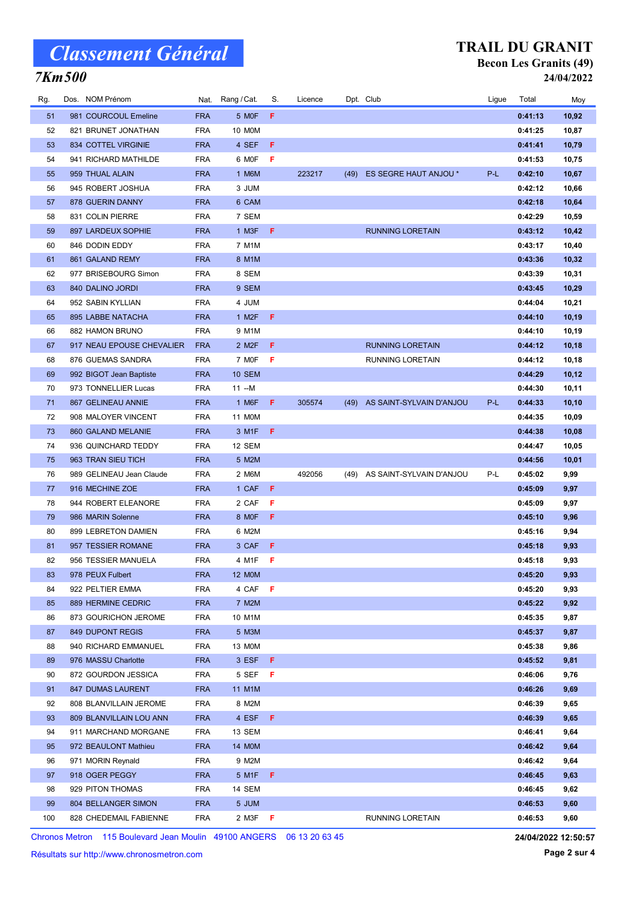### 7Km500

### TRAIL DU GRANIT Becon Les Granits (49)

| 24/04/2022 |
|------------|
|------------|

| Rg. | Dos. NOM Prénom           |            | Nat. Rang / Cat.   | S.  | Licence |      | Dpt. Club                     | Ligue | Total   | Moy    |
|-----|---------------------------|------------|--------------------|-----|---------|------|-------------------------------|-------|---------|--------|
| 51  | 981 COURCOUL Emeline      | <b>FRA</b> | 5 MOF              | F   |         |      |                               |       | 0:41:13 | 10,92  |
| 52  | 821 BRUNET JONATHAN       | <b>FRA</b> | 10 M0M             |     |         |      |                               |       | 0:41:25 | 10,87  |
| 53  | 834 COTTEL VIRGINIE       | <b>FRA</b> | 4 SEF              | F   |         |      |                               |       | 0:41:41 | 10,79  |
| 54  | 941 RICHARD MATHILDE      | <b>FRA</b> | 6 MOF              | F   |         |      |                               |       | 0:41:53 | 10,75  |
| 55  | 959 THUAL ALAIN           | <b>FRA</b> | 1 M6M              |     | 223217  | (49) | ES SEGRE HAUT ANJOU *         | P-L   | 0:42:10 | 10,67  |
| 56  | 945 ROBERT JOSHUA         | <b>FRA</b> | 3 JUM              |     |         |      |                               |       | 0:42:12 | 10,66  |
| 57  | 878 GUERIN DANNY          | <b>FRA</b> | 6 CAM              |     |         |      |                               |       | 0:42:18 | 10,64  |
| 58  | 831 COLIN PIERRE          | <b>FRA</b> | 7 SEM              |     |         |      |                               |       | 0:42:29 | 10,59  |
| 59  | 897 LARDEUX SOPHIE        | <b>FRA</b> | 1 M3F              | - F |         |      | <b>RUNNING LORETAIN</b>       |       | 0:43:12 | 10,42  |
| 60  | 846 DODIN EDDY            | <b>FRA</b> | 7 M1M              |     |         |      |                               |       | 0:43:17 | 10,40  |
| 61  | 861 GALAND REMY           | <b>FRA</b> | 8 M1M              |     |         |      |                               |       | 0:43:36 | 10,32  |
| 62  | 977 BRISEBOURG Simon      | <b>FRA</b> | 8 SEM              |     |         |      |                               |       | 0:43:39 | 10,31  |
| 63  | 840 DALINO JORDI          | <b>FRA</b> | 9 SEM              |     |         |      |                               |       | 0:43:45 | 10,29  |
| 64  | 952 SABIN KYLLIAN         | <b>FRA</b> | 4 JUM              |     |         |      |                               |       | 0:44:04 | 10,21  |
| 65  | 895 LABBE NATACHA         | <b>FRA</b> | 1 M <sub>2</sub> F | -F  |         |      |                               |       | 0:44:10 | 10,19  |
| 66  | 882 HAMON BRUNO           | <b>FRA</b> | 9 M1M              |     |         |      |                               |       | 0:44:10 | 10,19  |
| 67  | 917 NEAU EPOUSE CHEVALIER | <b>FRA</b> | 2 M <sub>2</sub> F | F   |         |      | <b>RUNNING LORETAIN</b>       |       | 0:44:12 | 10, 18 |
| 68  | 876 GUEMAS SANDRA         | <b>FRA</b> | 7 MOF              | -F  |         |      | <b>RUNNING LORETAIN</b>       |       | 0:44:12 | 10,18  |
| 69  | 992 BIGOT Jean Baptiste   | <b>FRA</b> | <b>10 SEM</b>      |     |         |      |                               |       | 0:44:29 | 10,12  |
| 70  | 973 TONNELLIER Lucas      | <b>FRA</b> | 11 --M             |     |         |      |                               |       | 0:44:30 | 10,11  |
| 71  | 867 GELINEAU ANNIE        | <b>FRA</b> | 1 M6F              | F.  | 305574  | (49) | AS SAINT-SYLVAIN D'ANJOU      | P-L   | 0:44:33 | 10,10  |
| 72  | 908 MALOYER VINCENT       | <b>FRA</b> | 11 M0M             |     |         |      |                               |       | 0:44:35 | 10,09  |
| 73  | 860 GALAND MELANIE        | <b>FRA</b> | 3 M1F F            |     |         |      |                               |       | 0:44:38 | 10,08  |
| 74  | 936 QUINCHARD TEDDY       | <b>FRA</b> | 12 SEM             |     |         |      |                               |       | 0:44:47 | 10,05  |
| 75  | 963 TRAN SIEU TICH        | <b>FRA</b> | 5 M2M              |     |         |      |                               |       | 0:44:56 | 10,01  |
| 76  | 989 GELINEAU Jean Claude  | <b>FRA</b> | 2 M6M              |     | 492056  |      | (49) AS SAINT-SYLVAIN D'ANJOU | P-L   | 0:45:02 | 9,99   |
| 77  | 916 MECHINE ZOE           | <b>FRA</b> | 1 CAF              | - F |         |      |                               |       | 0:45:09 | 9,97   |
| 78  | 944 ROBERT ELEANORE       | <b>FRA</b> | 2 CAF              | F   |         |      |                               |       | 0:45:09 | 9,97   |
| 79  | 986 MARIN Solenne         | <b>FRA</b> | 8 MOF              | F   |         |      |                               |       | 0:45:10 | 9,96   |
| 80  | 899 LEBRETON DAMIEN       | <b>FRA</b> | 6 M2M              |     |         |      |                               |       | 0:45:16 | 9,94   |
| 81  | 957 TESSIER ROMANE        | <b>FRA</b> | 3 CAF              | -F  |         |      |                               |       | 0:45:18 | 9,93   |
| 82  | 956 TESSIER MANUELA       | <b>FRA</b> | 4 M1F              | -F  |         |      |                               |       | 0:45:18 | 9,93   |
| 83  | 978 PEUX Fulbert          | <b>FRA</b> | <b>12 MOM</b>      |     |         |      |                               |       | 0:45:20 | 9,93   |
| 84  | 922 PELTIER EMMA          | <b>FRA</b> | 4 CAF              | F   |         |      |                               |       | 0:45:20 | 9,93   |
| 85  | 889 HERMINE CEDRIC        | <b>FRA</b> | 7 M2M              |     |         |      |                               |       | 0:45:22 | 9,92   |
| 86  | 873 GOURICHON JEROME      | <b>FRA</b> | 10 M1M             |     |         |      |                               |       | 0:45:35 | 9,87   |
| 87  | 849 DUPONT REGIS          | <b>FRA</b> | 5 M3M              |     |         |      |                               |       | 0:45:37 | 9,87   |
| 88  | 940 RICHARD EMMANUEL      | <b>FRA</b> | 13 M0M             |     |         |      |                               |       | 0:45:38 | 9,86   |
| 89  | 976 MASSU Charlotte       | <b>FRA</b> | 3 ESF F            |     |         |      |                               |       | 0:45:52 | 9,81   |
| 90  | 872 GOURDON JESSICA       | <b>FRA</b> | 5 SEF              | - F |         |      |                               |       | 0:46:06 | 9,76   |
| 91  | 847 DUMAS LAURENT         | <b>FRA</b> | 11 M1M             |     |         |      |                               |       | 0:46:26 | 9,69   |
| 92  | 808 BLANVILLAIN JEROME    | <b>FRA</b> | 8 M2M              |     |         |      |                               |       | 0:46:39 | 9,65   |
| 93  | 809 BLANVILLAIN LOU ANN   | <b>FRA</b> | 4 ESF              | - F |         |      |                               |       | 0:46:39 | 9,65   |
| 94  | 911 MARCHAND MORGANE      | <b>FRA</b> | 13 SEM             |     |         |      |                               |       | 0:46:41 | 9,64   |
| 95  | 972 BEAULONT Mathieu      | <b>FRA</b> | 14 M0M             |     |         |      |                               |       | 0:46:42 | 9,64   |
| 96  | 971 MORIN Reynald         | <b>FRA</b> | 9 M2M              |     |         |      |                               |       | 0:46:42 | 9,64   |
| 97  | 918 OGER PEGGY            | <b>FRA</b> | 5 M1F F            |     |         |      |                               |       | 0:46:45 | 9,63   |
| 98  | 929 PITON THOMAS          | <b>FRA</b> | 14 SEM             |     |         |      |                               |       | 0:46:45 | 9,62   |
| 99  | 804 BELLANGER SIMON       | <b>FRA</b> | 5 JUM              |     |         |      |                               |       | 0:46:53 | 9,60   |
| 100 | 828 CHEDEMAIL FABIENNE    | <b>FRA</b> | 2 M3F <b>F</b>     |     |         |      | RUNNING LORETAIN              |       | 0:46:53 | 9,60   |

Chronos Metron 115 Boulevard Jean Moulin 49100 ANGERS 06 13 20 63 45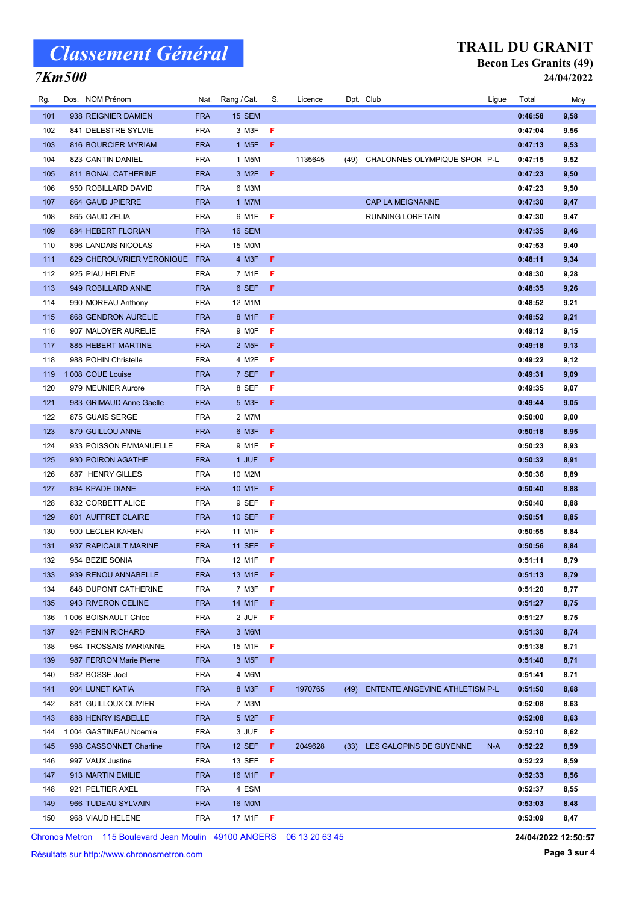### 7Km500

#### TRAIL DU GRANIT Becon Les Granits (49) 24/04/2022

| Rg. | Dos. NOM Prénom               | Nat.       | Rang / Cat.        | S.  | Licence |      | Dpt. Club                           | Ligue | Total   | Moy  |
|-----|-------------------------------|------------|--------------------|-----|---------|------|-------------------------------------|-------|---------|------|
| 101 | 938 REIGNIER DAMIEN           | <b>FRA</b> | <b>15 SEM</b>      |     |         |      |                                     |       | 0:46:58 | 9,58 |
| 102 | 841 DELESTRE SYLVIE           | FRA        | 3 M3F              | F   |         |      |                                     |       | 0:47:04 | 9,56 |
| 103 | 816 BOURCIER MYRIAM           | <b>FRA</b> | 1 M <sub>5</sub> F | F   |         |      |                                     |       | 0:47:13 | 9,53 |
| 104 | 823 CANTIN DANIEL             | <b>FRA</b> | 1 M5M              |     | 1135645 | (49) | CHALONNES OLYMPIQUE SPOR P-L        |       | 0:47:15 | 9,52 |
| 105 | 811 BONAL CATHERINE           | <b>FRA</b> | 3 M <sub>2</sub> F | F.  |         |      |                                     |       | 0:47:23 | 9,50 |
| 106 | 950 ROBILLARD DAVID           | <b>FRA</b> | 6 M3M              |     |         |      |                                     |       | 0:47:23 | 9,50 |
| 107 | 864 GAUD JPIERRE              | <b>FRA</b> | 1 M7M              |     |         |      | CAP LA MEIGNANNE                    |       | 0:47:30 | 9,47 |
| 108 | 865 GAUD ZELIA                | <b>FRA</b> | 6 M1F              | -F  |         |      | RUNNING LORETAIN                    |       | 0:47:30 | 9,47 |
| 109 | 884 HEBERT FLORIAN            | <b>FRA</b> | 16 SEM             |     |         |      |                                     |       | 0:47:35 | 9,46 |
| 110 | 896 LANDAIS NICOLAS           | <b>FRA</b> | 15 MOM             |     |         |      |                                     |       | 0:47:53 | 9,40 |
| 111 | 829 CHEROUVRIER VERONIQUE FRA |            | 4 M3F              | F   |         |      |                                     |       | 0:48:11 | 9,34 |
| 112 | 925 PIAU HELENE               | FRA        | 7 M1F              | F   |         |      |                                     |       | 0:48:30 | 9,28 |
| 113 | 949 ROBILLARD ANNE            | <b>FRA</b> | 6 SEF              | F   |         |      |                                     |       | 0:48:35 | 9,26 |
| 114 | 990 MOREAU Anthony            | <b>FRA</b> | 12 M1M             |     |         |      |                                     |       | 0:48:52 | 9,21 |
| 115 | 868 GENDRON AURELIE           | <b>FRA</b> | 8 M1F              | F   |         |      |                                     |       | 0:48:52 | 9,21 |
| 116 | 907 MALOYER AURELIE           | <b>FRA</b> | 9 MOF              | F   |         |      |                                     |       | 0:49:12 | 9,15 |
| 117 | 885 HEBERT MARTINE            | <b>FRA</b> | 2 M <sub>5</sub> F | F   |         |      |                                     |       | 0:49:18 | 9,13 |
| 118 | 988 POHIN Christelle          | <b>FRA</b> | 4 M2F              | F   |         |      |                                     |       | 0:49:22 | 9,12 |
| 119 | 1008 COUE Louise              | <b>FRA</b> | 7 SEF              | F   |         |      |                                     |       | 0:49:31 | 9,09 |
| 120 | 979 MEUNIER Aurore            | <b>FRA</b> | 8 SEF              | F   |         |      |                                     |       | 0:49:35 | 9,07 |
| 121 | 983 GRIMAUD Anne Gaelle       | <b>FRA</b> | 5 M3F              | F   |         |      |                                     |       | 0:49:44 | 9,05 |
| 122 | 875 GUAIS SERGE               | <b>FRA</b> | 2 M7M              |     |         |      |                                     |       | 0:50:00 | 9,00 |
| 123 | 879 GUILLOU ANNE              | <b>FRA</b> | 6 M3F              | F   |         |      |                                     |       | 0:50:18 | 8,95 |
| 124 | 933 POISSON EMMANUELLE        | <b>FRA</b> | 9 M1F              | F   |         |      |                                     |       | 0:50:23 | 8,93 |
| 125 | 930 POIRON AGATHE             | <b>FRA</b> | 1 JUF              | F   |         |      |                                     |       | 0:50:32 | 8,91 |
| 126 | 887 HENRY GILLES              | <b>FRA</b> | 10 M2M             |     |         |      |                                     |       | 0:50:36 | 8,89 |
| 127 | 894 KPADE DIANE               | <b>FRA</b> | 10 M1F             | F   |         |      |                                     |       | 0:50:40 | 8,88 |
| 128 | 832 CORBETT ALICE             | <b>FRA</b> | 9 SEF              | F   |         |      |                                     |       | 0:50:40 | 8,88 |
| 129 | 801 AUFFRET CLAIRE            | <b>FRA</b> | <b>10 SEF</b>      | F   |         |      |                                     |       | 0:50:51 | 8,85 |
| 130 | 900 LECLER KAREN              | FRA        | 11 M1F             | F   |         |      |                                     |       | 0:50:55 | 8,84 |
| 131 | 937 RAPICAULT MARINE          | <b>FRA</b> | <b>11 SEF</b>      | F   |         |      |                                     |       | 0:50:56 | 8,84 |
| 132 | 954 BEZIE SONIA               | FRA        | 12 M1F             | F   |         |      |                                     |       | 0:51:11 | 8,79 |
| 133 | 939 RENOU ANNABELLE           | <b>FRA</b> | 13 M1F             | - F |         |      |                                     |       | 0:51:13 | 8,79 |
| 134 | 848 DUPONT CATHERINE          | FRA        | 7 M3F              | F   |         |      |                                     |       | 0:51:20 | 8,77 |
| 135 | 943 RIVERON CELINE            | <b>FRA</b> | 14 M1F             | F   |         |      |                                     |       | 0:51:27 | 8,75 |
| 136 | 1 006 BOISNAULT Chloe         | <b>FRA</b> | 2 JUF              | F   |         |      |                                     |       | 0:51:27 | 8,75 |
| 137 | 924 PENIN RICHARD             | <b>FRA</b> | 3 M6M              |     |         |      |                                     |       | 0:51:30 | 8,74 |
| 138 | 964 TROSSAIS MARIANNE         | <b>FRA</b> | 15 M1F             | F   |         |      |                                     |       | 0:51:38 | 8,71 |
| 139 | 987 FERRON Marie Pierre       | <b>FRA</b> | 3 M <sub>5</sub> F | F.  |         |      |                                     |       | 0:51:40 | 8,71 |
| 140 | 982 BOSSE Joel                | <b>FRA</b> | 4 M6M              |     |         |      |                                     |       | 0:51:41 | 8,71 |
| 141 | 904 LUNET KATIA               | <b>FRA</b> | 8 M3F              | F.  | 1970765 |      | (49) ENTENTE ANGEVINE ATHLETISM P-L |       | 0:51:50 | 8,68 |
| 142 | 881 GUILLOUX OLIVIER          | <b>FRA</b> | 7 M3M              |     |         |      |                                     |       | 0:52:08 | 8,63 |
| 143 | 888 HENRY ISABELLE            | <b>FRA</b> | 5 M2F              | F   |         |      |                                     |       | 0:52:08 | 8,63 |
| 144 | 1 004 GASTINEAU Noemie        | FRA        | 3 JUF              | F   |         |      |                                     |       | 0:52:10 | 8,62 |
| 145 | 998 CASSONNET Charline        | <b>FRA</b> | <b>12 SEF</b>      | F   | 2049628 | (33) | LES GALOPINS DE GUYENNE             | N-A   | 0:52:22 | 8,59 |
| 146 | 997 VAUX Justine              | <b>FRA</b> | 13 SEF             | F   |         |      |                                     |       | 0:52:22 | 8,59 |
| 147 | 913 MARTIN EMILIE             | <b>FRA</b> | 16 M1F             | F   |         |      |                                     |       | 0:52:33 | 8,56 |
| 148 | 921 PELTIER AXEL              | FRA        | 4 ESM              |     |         |      |                                     |       | 0:52:37 | 8,55 |
| 149 | 966 TUDEAU SYLVAIN            | <b>FRA</b> | <b>16 MOM</b>      |     |         |      |                                     |       | 0:53:03 | 8,48 |
| 150 | 968 VIAUD HELENE              | <b>FRA</b> | 17 M1F             | -F  |         |      |                                     |       | 0:53:09 | 8,47 |

Chronos Metron 115 Boulevard Jean Moulin 49100 ANGERS 06 13 20 63 45

Résultats sur http://www.chronosmetron.com